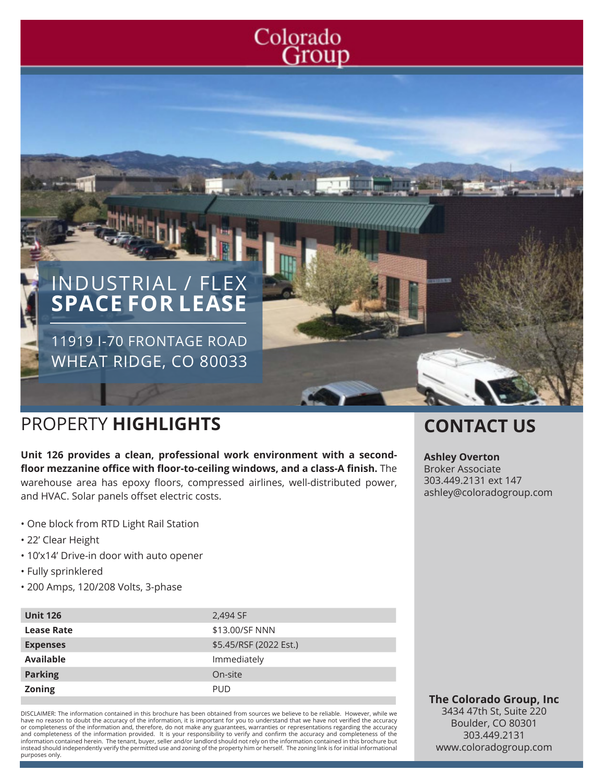## Colorado Group

# INDUSTRIAL / FLEX **SPACE FOR LEASE**

11919 I-70 FRONTAGE ROAD WHEAT RIDGE, CO 80033

### PROPERTY **HIGHLIGHTS CONTACT US**

**Unit 126 provides a clean, professional work environment with a secondfloor mezzanine office with floor-to-ceiling windows, and a class-A finish.** The warehouse area has epoxy floors, compressed airlines, well-distributed power, and HVAC. Solar panels offset electric costs.

- One block from RTD Light Rail Station
- 22' Clear Height
- 10'x14' Drive-in door with auto opener
- Fully sprinklered
- 200 Amps, 120/208 Volts, 3-phase

| <b>Unit 126</b>   | 2,494 SF               |
|-------------------|------------------------|
| <b>Lease Rate</b> | \$13,00/SF NNN         |
| <b>Expenses</b>   | \$5.45/RSF (2022 Est.) |
| <b>Available</b>  | Immediately            |
| <b>Parking</b>    | On-site                |
| <b>Zoning</b>     | <b>PUD</b>             |

DISCLAIMER: The information contained in this brochure has been obtained from sources we believe to be reliable. However, while we have no reason to doubt the accuracy of the information, it is important for you to understand that we have not verified the accuracy or completeness of the information and, therefore, do not make any guarantees, warranties or representations regarding the accuracy<br>and completeness of the information provided. It is your responsibility to verify and con information contained herein. The tenant, buyer, seller and/or landlord should not rely on the information contained in this brochure but instead should independently verify the permitted use and zoning of the property him or herself. The zoning link is for initial informational purposes only.

#### **Ashley Overton**

Broker Associate 303.449.2131 ext 147 ashley@coloradogroup.com

### **The Colorado Group, Inc**

3434 47th St, Suite 220 Boulder, CO 80301 303.449.2131 www.coloradogroup.com